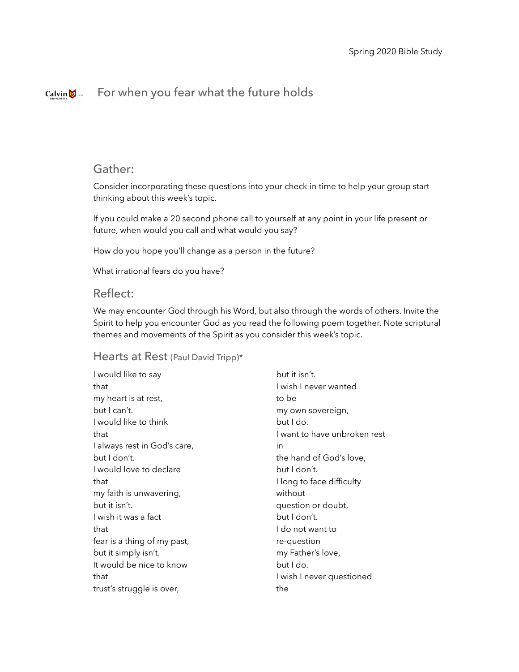#### For when you fear what the future holdsCalvin  $\bigotimes$  1876

## Gather:

Consider incorporating these questions into your check-in time to help your group start thinking about this week's topic.

If you could make a 20 second phone call to yourself at any point in your life present or future, when would you call and what would you say?

How do you hope you'll change as a person in the future?

What irrational fears do you have?

## Reflect:

We may encounter God through his Word, but also through the words of others. Invite the Spirit to help you encounter God as you read the following poem together. Note scriptural themes and movements of the Spirit as you consider this week's topic.

## Hearts at Rest (Paul David Tripp)\*

| I would like to say          | but it isn't.                |
|------------------------------|------------------------------|
| that                         | I wish I never wanted        |
| my heart is at rest,         | to be                        |
| but Lcan't.                  | my own sovereign,            |
| I would like to think        | but I do.                    |
| that                         | I want to have unbroken rest |
| I always rest in God's care, | in                           |
| but I don't.                 | the hand of God's love,      |
| I would love to declare      | but I don't.                 |
| that                         | I long to face difficulty    |
| my faith is unwavering,      | without                      |
| but it isn't.                | question or doubt,           |
| I wish it was a fact         | but I don't.                 |
| that                         | l do not want to             |
| fear is a thing of my past,  | re-question                  |
| but it simply isn't.         | my Father's love,            |
| It would be nice to know     | but I do.                    |
| that                         | I wish I never questioned    |
| trust's struggle is over,    | the                          |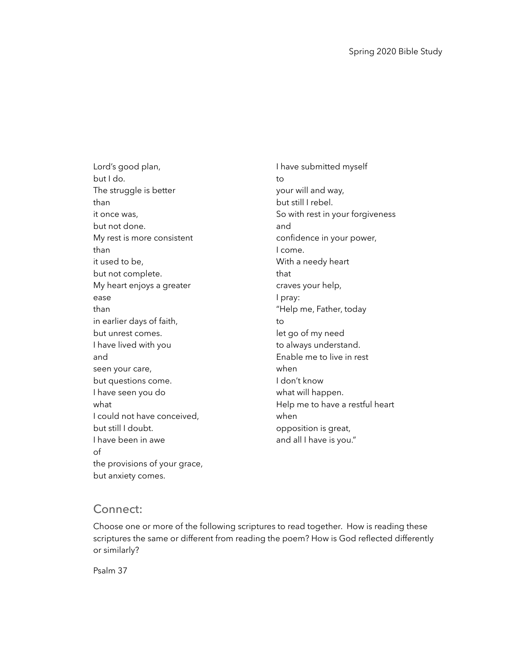Lord's good plan, but I do. The struggle is better than it once was, but not done. My rest is more consistent than it used to be, but not complete. My heart enjoys a greater ease than in earlier days of faith, but unrest comes. I have lived with you and seen your care, but questions come. I have seen you do what I could not have conceived, but still I doubt. I have been in awe of the provisions of your grace, but anxiety comes.

I have submitted myself to your will and way, but still I rebel. So with rest in your forgiveness and confidence in your power, I come. With a needy heart that craves your help, I pray: "Help me, Father, today to let go of my need to always understand. Enable me to live in rest when I don't know what will happen. Help me to have a restful heart when opposition is great, and all I have is you."

### Connect:

Choose one or more of the following scriptures to read together. How is reading these scriptures the same or different from reading the poem? How is God reflected differently or similarly?

Psalm 37